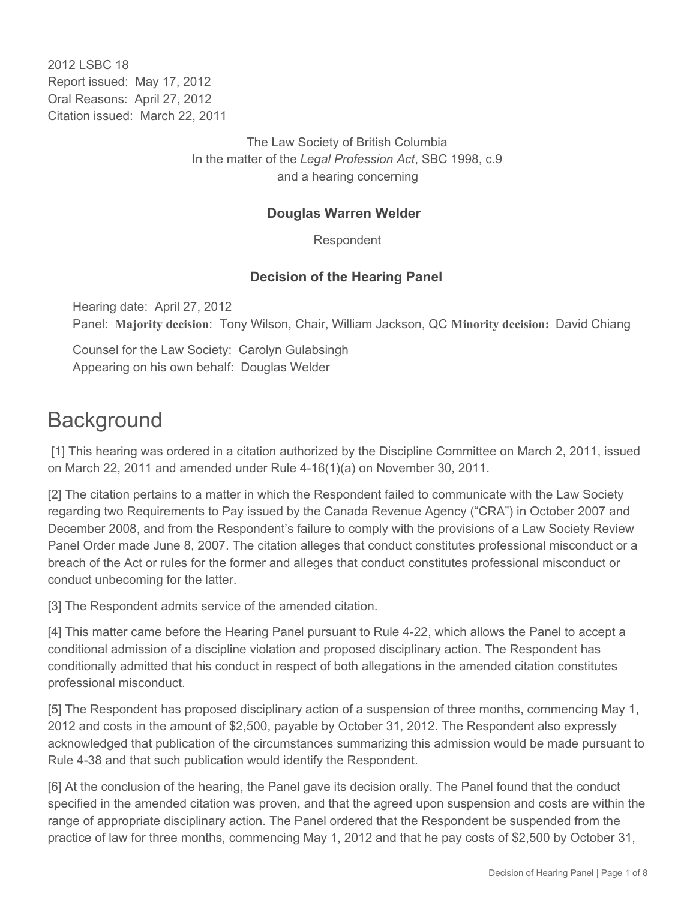2012 LSBC 18 Report issued: May 17, 2012 Oral Reasons: April 27, 2012 Citation issued: March 22, 2011

> The Law Society of British Columbia In the matter of the *Legal Profession Act*, SBC 1998, c.9 and a hearing concerning

## **Douglas Warren Welder**

Respondent

# **Decision of the Hearing Panel**

Hearing date: April 27, 2012 Panel: **Majority decision**: Tony Wilson, Chair, William Jackson, QC **Minority decision:** David Chiang

Counsel for the Law Society: Carolyn Gulabsingh Appearing on his own behalf: Douglas Welder

# **Background**

 [1] This hearing was ordered in a citation authorized by the Discipline Committee on March 2, 2011, issued on March 22, 2011 and amended under Rule 4-16(1)(a) on November 30, 2011.

[2] The citation pertains to a matter in which the Respondent failed to communicate with the Law Society regarding two Requirements to Pay issued by the Canada Revenue Agency ("CRA") in October 2007 and December 2008, and from the Respondent's failure to comply with the provisions of a Law Society Review Panel Order made June 8, 2007. The citation alleges that conduct constitutes professional misconduct or a breach of the Act or rules for the former and alleges that conduct constitutes professional misconduct or conduct unbecoming for the latter.

[3] The Respondent admits service of the amended citation.

[4] This matter came before the Hearing Panel pursuant to Rule 4-22, which allows the Panel to accept a conditional admission of a discipline violation and proposed disciplinary action. The Respondent has conditionally admitted that his conduct in respect of both allegations in the amended citation constitutes professional misconduct.

[5] The Respondent has proposed disciplinary action of a suspension of three months, commencing May 1, 2012 and costs in the amount of \$2,500, payable by October 31, 2012. The Respondent also expressly acknowledged that publication of the circumstances summarizing this admission would be made pursuant to Rule 4-38 and that such publication would identify the Respondent.

[6] At the conclusion of the hearing, the Panel gave its decision orally. The Panel found that the conduct specified in the amended citation was proven, and that the agreed upon suspension and costs are within the range of appropriate disciplinary action. The Panel ordered that the Respondent be suspended from the practice of law for three months, commencing May 1, 2012 and that he pay costs of \$2,500 by October 31,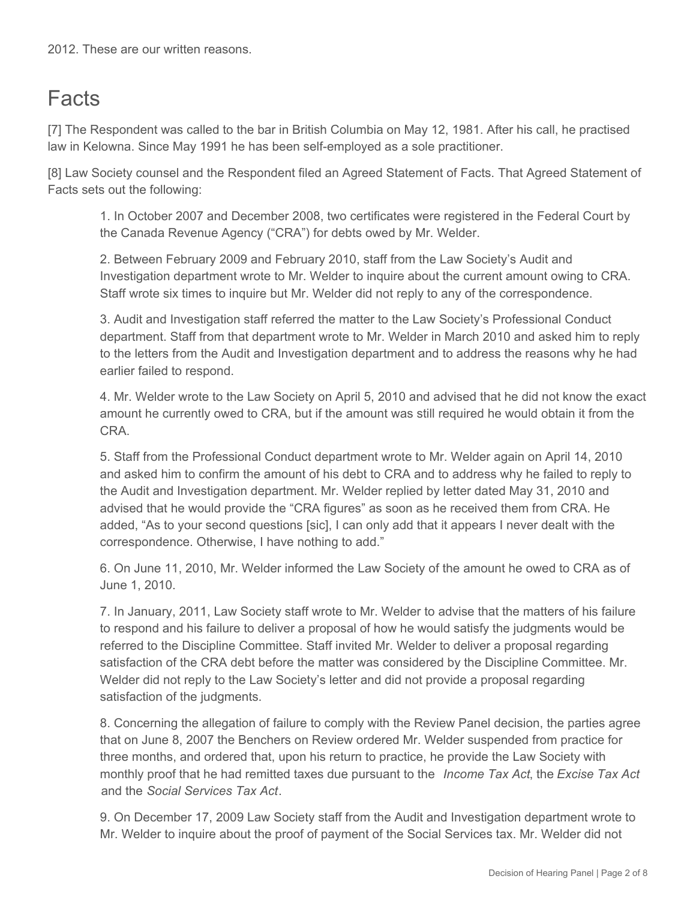# **Facts**

[7] The Respondent was called to the bar in British Columbia on May 12, 1981. After his call, he practised law in Kelowna. Since May 1991 he has been self-employed as a sole practitioner.

[8] Law Society counsel and the Respondent filed an Agreed Statement of Facts. That Agreed Statement of Facts sets out the following:

1. In October 2007 and December 2008, two certificates were registered in the Federal Court by the Canada Revenue Agency ("CRA") for debts owed by Mr. Welder.

2. Between February 2009 and February 2010, staff from the Law Society's Audit and Investigation department wrote to Mr. Welder to inquire about the current amount owing to CRA. Staff wrote six times to inquire but Mr. Welder did not reply to any of the correspondence.

3. Audit and Investigation staff referred the matter to the Law Society's Professional Conduct department. Staff from that department wrote to Mr. Welder in March 2010 and asked him to reply to the letters from the Audit and Investigation department and to address the reasons why he had earlier failed to respond.

4. Mr. Welder wrote to the Law Society on April 5, 2010 and advised that he did not know the exact amount he currently owed to CRA, but if the amount was still required he would obtain it from the CRA.

5. Staff from the Professional Conduct department wrote to Mr. Welder again on April 14, 2010 and asked him to confirm the amount of his debt to CRA and to address why he failed to reply to the Audit and Investigation department. Mr. Welder replied by letter dated May 31, 2010 and advised that he would provide the "CRA figures" as soon as he received them from CRA. He added, "As to your second questions [sic], I can only add that it appears I never dealt with the correspondence. Otherwise, I have nothing to add."

6. On June 11, 2010, Mr. Welder informed the Law Society of the amount he owed to CRA as of June 1, 2010.

7. In January, 2011, Law Society staff wrote to Mr. Welder to advise that the matters of his failure to respond and his failure to deliver a proposal of how he would satisfy the judgments would be referred to the Discipline Committee. Staff invited Mr. Welder to deliver a proposal regarding satisfaction of the CRA debt before the matter was considered by the Discipline Committee. Mr. Welder did not reply to the Law Society's letter and did not provide a proposal regarding satisfaction of the judgments.

8. Concerning the allegation of failure to comply with the Review Panel decision, the parties agree that on June 8, 2007 the Benchers on Review ordered Mr. Welder suspended from practice for three months, and ordered that, upon his return to practice, he provide the Law Society with monthly proof that he had remitted taxes due pursuant to the *Income Tax Act*, the *Excise Tax Act* and the *Social Services Tax Act*.

9. On December 17, 2009 Law Society staff from the Audit and Investigation department wrote to Mr. Welder to inquire about the proof of payment of the Social Services tax. Mr. Welder did not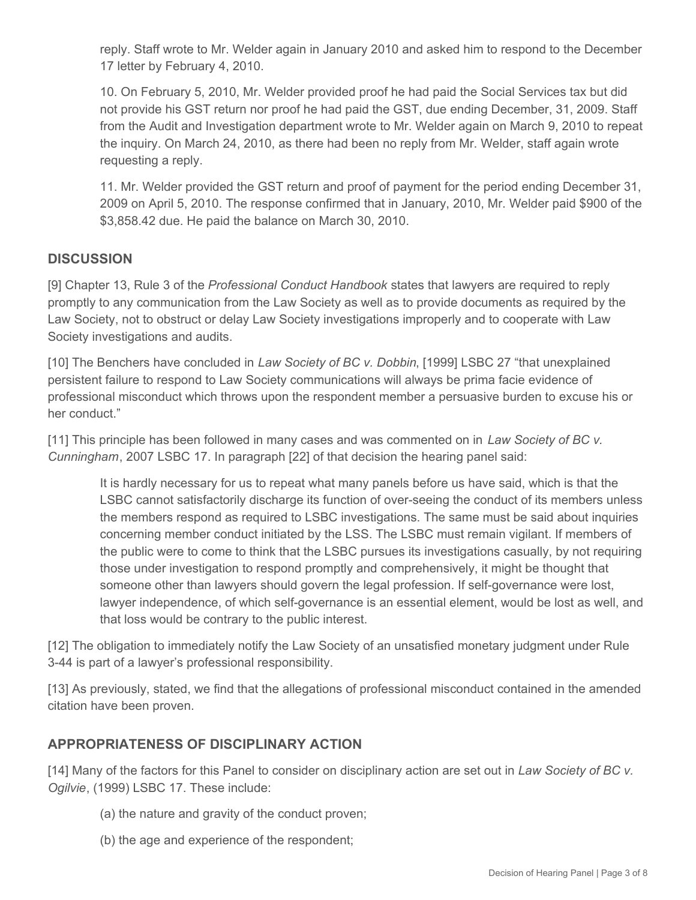reply. Staff wrote to Mr. Welder again in January 2010 and asked him to respond to the December 17 letter by February 4, 2010.

10. On February 5, 2010, Mr. Welder provided proof he had paid the Social Services tax but did not provide his GST return nor proof he had paid the GST, due ending December, 31, 2009. Staff from the Audit and Investigation department wrote to Mr. Welder again on March 9, 2010 to repeat the inquiry. On March 24, 2010, as there had been no reply from Mr. Welder, staff again wrote requesting a reply.

11. Mr. Welder provided the GST return and proof of payment for the period ending December 31, 2009 on April 5, 2010. The response confirmed that in January, 2010, Mr. Welder paid \$900 of the \$3,858.42 due. He paid the balance on March 30, 2010.

# **DISCUSSION**

[9] Chapter 13, Rule 3 of the *Professional Conduct Handbook* states that lawyers are required to reply promptly to any communication from the Law Society as well as to provide documents as required by the Law Society, not to obstruct or delay Law Society investigations improperly and to cooperate with Law Society investigations and audits.

[10] The Benchers have concluded in *Law Society of BC v. Dobbin*, [1999] LSBC 27 "that unexplained persistent failure to respond to Law Society communications will always be prima facie evidence of professional misconduct which throws upon the respondent member a persuasive burden to excuse his or her conduct."

[11] This principle has been followed in many cases and was commented on in *Law Society of BC v. Cunningham*, 2007 LSBC 17. In paragraph [22] of that decision the hearing panel said:

It is hardly necessary for us to repeat what many panels before us have said, which is that the LSBC cannot satisfactorily discharge its function of over-seeing the conduct of its members unless the members respond as required to LSBC investigations. The same must be said about inquiries concerning member conduct initiated by the LSS. The LSBC must remain vigilant. If members of the public were to come to think that the LSBC pursues its investigations casually, by not requiring those under investigation to respond promptly and comprehensively, it might be thought that someone other than lawyers should govern the legal profession. If self-governance were lost, lawyer independence, of which self-governance is an essential element, would be lost as well, and that loss would be contrary to the public interest.

[12] The obligation to immediately notify the Law Society of an unsatisfied monetary judgment under Rule 3-44 is part of a lawyer's professional responsibility.

[13] As previously, stated, we find that the allegations of professional misconduct contained in the amended citation have been proven.

### **APPROPRIATENESS OF DISCIPLINARY ACTION**

[14] Many of the factors for this Panel to consider on disciplinary action are set out in *Law Society of BC v. Ogilvie*, (1999) LSBC 17. These include:

- (a) the nature and gravity of the conduct proven;
- (b) the age and experience of the respondent;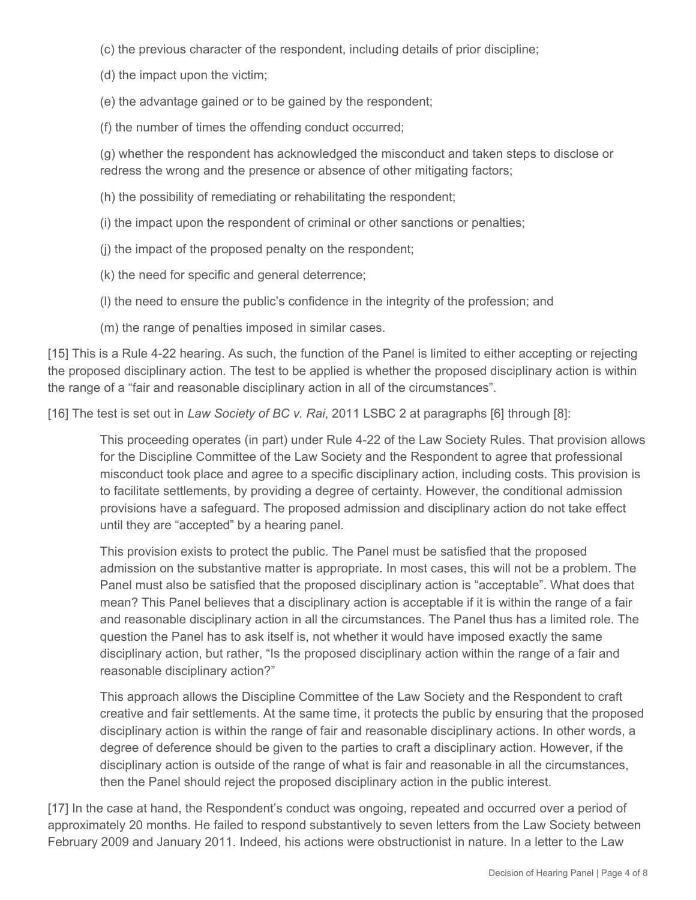(c) the previous character of the respondent, including details of prior discipline;

(d) the impact upon the victim;

(e) the advantage gained or to be gained by the respondent;

(f) the number of times the offending conduct occurred;

(g) whether the respondent has acknowledged the misconduct and taken steps to disclose or redress the wrong and the presence or absence of other mitigating factors;

(h) the possibility of remediating or rehabilitating the respondent;

(i) the impact upon the respondent of criminal or other sanctions or penalties;

(j) the impact of the proposed penalty on the respondent;

(k) the need for specific and general deterrence;

(l) the need to ensure the public's confidence in the integrity of the profession; and

(m) the range of penalties imposed in similar cases.

[15] This is a Rule 4-22 hearing. As such, the function of the Panel is limited to either accepting or rejecting the proposed disciplinary action. The test to be applied is whether the proposed disciplinary action is within the range of a "fair and reasonable disciplinary action in all of the circumstances".

[16] The test is set out in *Law Society of BC v. Rai*, 2011 LSBC 2 at paragraphs [6] through [8]:

This proceeding operates (in part) under Rule 4-22 of the Law Society Rules. That provision allows for the Discipline Committee of the Law Society and the Respondent to agree that professional misconduct took place and agree to a specific disciplinary action, including costs. This provision is to facilitate settlements, by providing a degree of certainty. However, the conditional admission provisions have a safeguard. The proposed admission and disciplinary action do not take effect until they are "accepted" by a hearing panel.

This provision exists to protect the public. The Panel must be satisfied that the proposed admission on the substantive matter is appropriate. In most cases, this will not be a problem. The Panel must also be satisfied that the proposed disciplinary action is "acceptable". What does that mean? This Panel believes that a disciplinary action is acceptable if it is within the range of a fair and reasonable disciplinary action in all the circumstances. The Panel thus has a limited role. The question the Panel has to ask itself is, not whether it would have imposed exactly the same disciplinary action, but rather, "Is the proposed disciplinary action within the range of a fair and reasonable disciplinary action?"

This approach allows the Discipline Committee of the Law Society and the Respondent to craft creative and fair settlements. At the same time, it protects the public by ensuring that the proposed disciplinary action is within the range of fair and reasonable disciplinary actions. In other words, a degree of deference should be given to the parties to craft a disciplinary action. However, if the disciplinary action is outside of the range of what is fair and reasonable in all the circumstances, then the Panel should reject the proposed disciplinary action in the public interest.

[17] In the case at hand, the Respondent's conduct was ongoing, repeated and occurred over a period of approximately 20 months. He failed to respond substantively to seven letters from the Law Society between February 2009 and January 2011. Indeed, his actions were obstructionist in nature. In a letter to the Law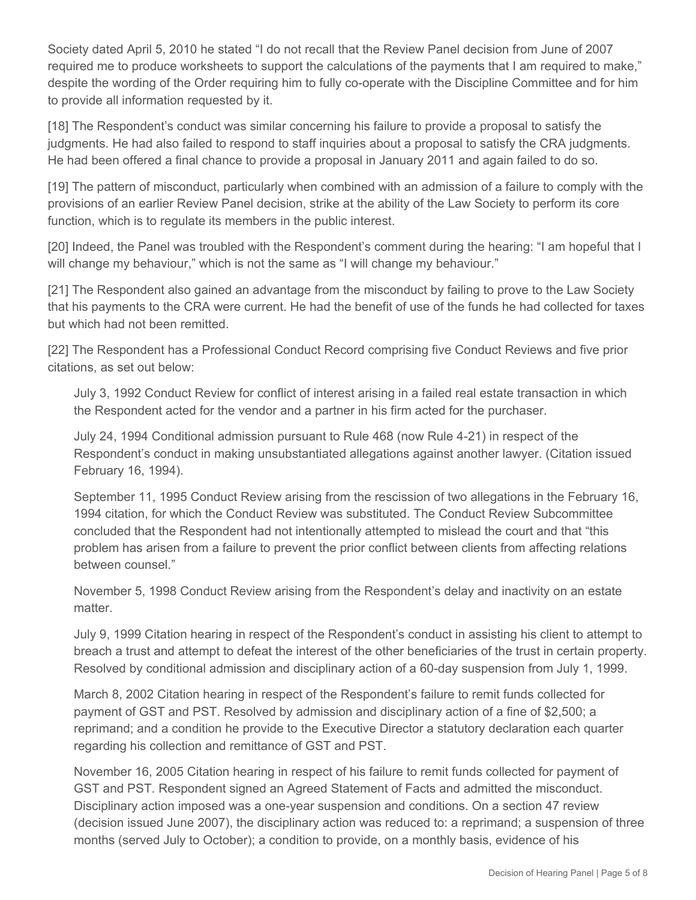Society dated April 5, 2010 he stated "I do not recall that the Review Panel decision from June of 2007 required me to produce worksheets to support the calculations of the payments that I am required to make," despite the wording of the Order requiring him to fully co-operate with the Discipline Committee and for him to provide all information requested by it.

[18] The Respondent's conduct was similar concerning his failure to provide a proposal to satisfy the judgments. He had also failed to respond to staff inquiries about a proposal to satisfy the CRA judgments. He had been offered a final chance to provide a proposal in January 2011 and again failed to do so.

[19] The pattern of misconduct, particularly when combined with an admission of a failure to comply with the provisions of an earlier Review Panel decision, strike at the ability of the Law Society to perform its core function, which is to regulate its members in the public interest.

[20] Indeed, the Panel was troubled with the Respondent's comment during the hearing: "I am hopeful that I will change my behaviour," which is not the same as "I will change my behaviour."

[21] The Respondent also gained an advantage from the misconduct by failing to prove to the Law Society that his payments to the CRA were current. He had the benefit of use of the funds he had collected for taxes but which had not been remitted.

[22] The Respondent has a Professional Conduct Record comprising five Conduct Reviews and five prior citations, as set out below:

July 3, 1992 Conduct Review for conflict of interest arising in a failed real estate transaction in which the Respondent acted for the vendor and a partner in his firm acted for the purchaser.

July 24, 1994 Conditional admission pursuant to Rule 468 (now Rule 4-21) in respect of the Respondent's conduct in making unsubstantiated allegations against another lawyer. (Citation issued February 16, 1994).

September 11, 1995 Conduct Review arising from the rescission of two allegations in the February 16, 1994 citation, for which the Conduct Review was substituted. The Conduct Review Subcommittee concluded that the Respondent had not intentionally attempted to mislead the court and that "this problem has arisen from a failure to prevent the prior conflict between clients from affecting relations between counsel."

November 5, 1998 Conduct Review arising from the Respondent's delay and inactivity on an estate matter.

July 9, 1999 Citation hearing in respect of the Respondent's conduct in assisting his client to attempt to breach a trust and attempt to defeat the interest of the other beneficiaries of the trust in certain property. Resolved by conditional admission and disciplinary action of a 60-day suspension from July 1, 1999.

March 8, 2002 Citation hearing in respect of the Respondent's failure to remit funds collected for payment of GST and PST. Resolved by admission and disciplinary action of a fine of \$2,500; a reprimand; and a condition he provide to the Executive Director a statutory declaration each quarter regarding his collection and remittance of GST and PST.

November 16, 2005 Citation hearing in respect of his failure to remit funds collected for payment of GST and PST. Respondent signed an Agreed Statement of Facts and admitted the misconduct. Disciplinary action imposed was a one-year suspension and conditions. On a section 47 review (decision issued June 2007), the disciplinary action was reduced to: a reprimand; a suspension of three months (served July to October); a condition to provide, on a monthly basis, evidence of his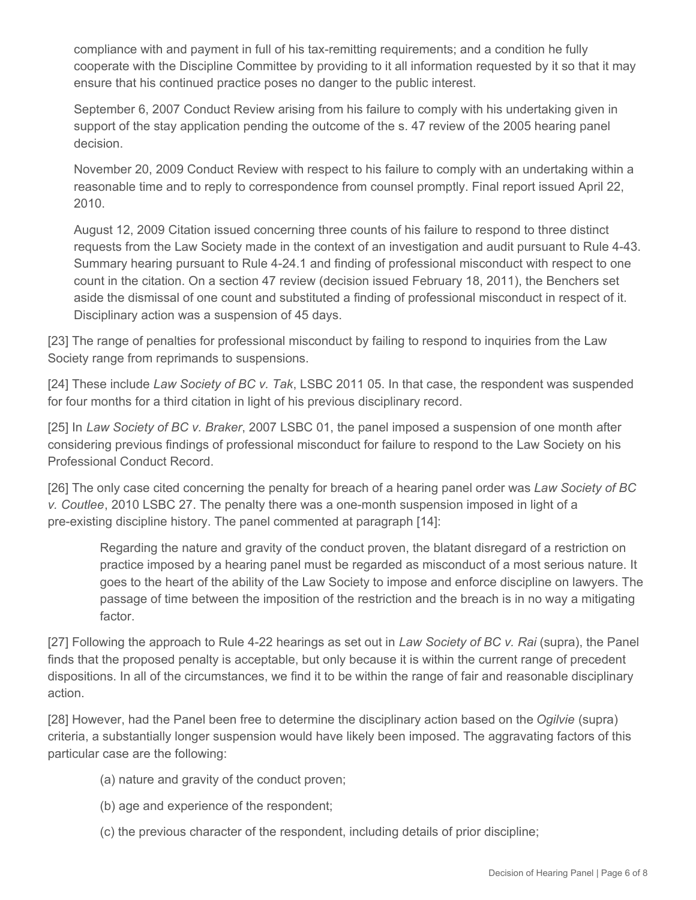compliance with and payment in full of his tax-remitting requirements; and a condition he fully cooperate with the Discipline Committee by providing to it all information requested by it so that it may ensure that his continued practice poses no danger to the public interest.

September 6, 2007 Conduct Review arising from his failure to comply with his undertaking given in support of the stay application pending the outcome of the s. 47 review of the 2005 hearing panel decision.

November 20, 2009 Conduct Review with respect to his failure to comply with an undertaking within a reasonable time and to reply to correspondence from counsel promptly. Final report issued April 22, 2010.

August 12, 2009 Citation issued concerning three counts of his failure to respond to three distinct requests from the Law Society made in the context of an investigation and audit pursuant to Rule 4-43. Summary hearing pursuant to Rule 4-24.1 and finding of professional misconduct with respect to one count in the citation. On a section 47 review (decision issued February 18, 2011), the Benchers set aside the dismissal of one count and substituted a finding of professional misconduct in respect of it. Disciplinary action was a suspension of 45 days.

[23] The range of penalties for professional misconduct by failing to respond to inquiries from the Law Society range from reprimands to suspensions.

[24] These include *Law Society of BC v. Tak*, LSBC 2011 05. In that case, the respondent was suspended for four months for a third citation in light of his previous disciplinary record.

[25] In *Law Society of BC v. Braker*, 2007 LSBC 01, the panel imposed a suspension of one month after considering previous findings of professional misconduct for failure to respond to the Law Society on his Professional Conduct Record.

[26] The only case cited concerning the penalty for breach of a hearing panel order was *Law Society of BC v. Coutlee*, 2010 LSBC 27. The penalty there was a one-month suspension imposed in light of a pre-existing discipline history. The panel commented at paragraph [14]:

Regarding the nature and gravity of the conduct proven, the blatant disregard of a restriction on practice imposed by a hearing panel must be regarded as misconduct of a most serious nature. It goes to the heart of the ability of the Law Society to impose and enforce discipline on lawyers. The passage of time between the imposition of the restriction and the breach is in no way a mitigating factor.

[27] Following the approach to Rule 4-22 hearings as set out in *Law Society of BC v. Rai* (supra), the Panel finds that the proposed penalty is acceptable, but only because it is within the current range of precedent dispositions. In all of the circumstances, we find it to be within the range of fair and reasonable disciplinary action.

[28] However, had the Panel been free to determine the disciplinary action based on the *Ogilvie* (supra) criteria, a substantially longer suspension would have likely been imposed. The aggravating factors of this particular case are the following:

- (a) nature and gravity of the conduct proven;
- (b) age and experience of the respondent;
- (c) the previous character of the respondent, including details of prior discipline;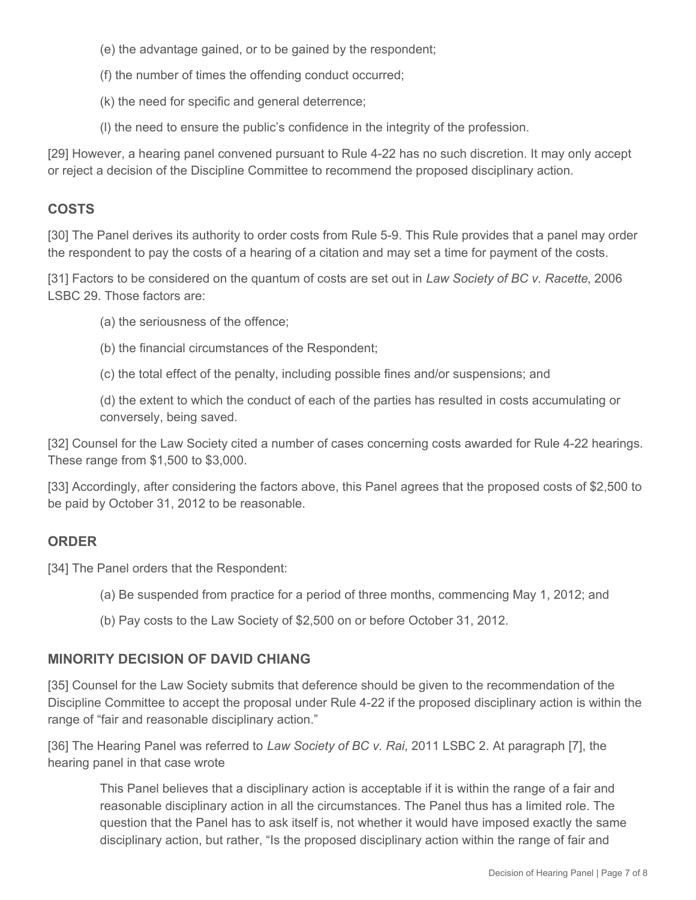- (e) the advantage gained, or to be gained by the respondent;
- (f) the number of times the offending conduct occurred;
- (k) the need for specific and general deterrence;
- (l) the need to ensure the public's confidence in the integrity of the profession.

[29] However, a hearing panel convened pursuant to Rule 4-22 has no such discretion. It may only accept or reject a decision of the Discipline Committee to recommend the proposed disciplinary action.

# **COSTS**

[30] The Panel derives its authority to order costs from Rule 5-9. This Rule provides that a panel may order the respondent to pay the costs of a hearing of a citation and may set a time for payment of the costs.

[31] Factors to be considered on the quantum of costs are set out in *Law Society of BC v. Racette*, 2006 LSBC 29. Those factors are:

- (a) the seriousness of the offence;
- (b) the financial circumstances of the Respondent;

(c) the total effect of the penalty, including possible fines and/or suspensions; and

(d) the extent to which the conduct of each of the parties has resulted in costs accumulating or conversely, being saved.

[32] Counsel for the Law Society cited a number of cases concerning costs awarded for Rule 4-22 hearings. These range from \$1,500 to \$3,000.

[33] Accordingly, after considering the factors above, this Panel agrees that the proposed costs of \$2,500 to be paid by October 31, 2012 to be reasonable.

### **ORDER**

[34] The Panel orders that the Respondent:

- (a) Be suspended from practice for a period of three months, commencing May 1, 2012; and
- (b) Pay costs to the Law Society of \$2,500 on or before October 31, 2012.

## **MINORITY DECISION OF DAVID CHIANG**

[35] Counsel for the Law Society submits that deference should be given to the recommendation of the Discipline Committee to accept the proposal under Rule 4-22 if the proposed disciplinary action is within the range of "fair and reasonable disciplinary action."

[36] The Hearing Panel was referred to *Law Society of BC v. Rai*, 2011 LSBC 2. At paragraph [7], the hearing panel in that case wrote

This Panel believes that a disciplinary action is acceptable if it is within the range of a fair and reasonable disciplinary action in all the circumstances. The Panel thus has a limited role. The question that the Panel has to ask itself is, not whether it would have imposed exactly the same disciplinary action, but rather, "Is the proposed disciplinary action within the range of fair and